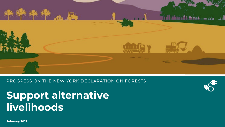

PROGRESS ON THE NEW YORK DECLARATION ON FORESTS

**Support alternative livelihoods**



**February 2022**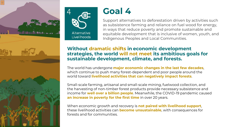



# **Goal 4**

Support alternatives to deforestation driven by activities such as subsistence farming and reliance on fuel wood for energy, in ways that reduce poverty and promote sustainable and equitable development that is inclusive of women, youth, and Indigenous Peoples and Local Communities.

### **Without dramatic shifts in economic development strategies, the world will not meet its ambitious goals for sustainable development, climate, and forests.**

The world has undergone **major economic changes in the last few decades**, which continue to push many forest-dependent and poor people around the world toward **livelihood activities that can negatively impact forests**.

Small-scale farming, artisanal and small-scale mining, fuelwood collection, and the harvesting of non-timber forest products provide necessary subsistence and income for **well over a billion people**. Meanwhile, the COVID-19 pandemic caused **an increase in poverty for the first time** in over 20 years.

When economic growth and recovery is **not paired with livelihood support**, these livelihood activities can **become unsustainable**, with consequences for forests and for communities.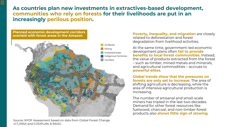**As countries plan new investments in extractives-based development, communities who rely on forests for their livelihoods are put in an increasingly perilous position.** 



 $|\equiv|$ 

Source: NYDF Assessment based on data from Global Forest Change v1.7;,IIRSA and COSIPLAN, & RAISG

**Poverty, inequality, and migration** are closely related to deforestation and forest degradation from livelihood activities.

At the same time, government-led economic development plans often **fail to provide benefits to local forest communities**. Instead, the value of products extracted from the forest – such as timber, mined metals and minerals, and agricultural commodities – accrues to **powerful elites**.

**Global trends show that the pressures on forests are only set to increase.** The area of shifting agriculture is decreasing, while the area of intensive agricultural production is increasing.

The number of artisanal and small-scale miners has tripled in the last two decades. Demand for other forest resources like fuelwood, charcoal, and non-timber forest products also **shows little sign of slowing**.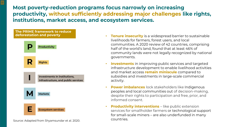**Most poverty-reduction programs focus narrowly on increasing productivity, without sufficiently addressing major challenges like rights, institutions, market access, and ecosystem services.** 

#### **The PRIME framework to reduce deforestation and poverty**

 $\blacksquare$ 



Source: Adapted from Shyamsundar et al. 2020.

- **Tenure insecurity** is a widespread barrier to sustainable livelihoods for farmers, forest users, and local communities. A 2020 review of 42 countries, comprising half of the world's land, found that at least 46% of community lands were not legally recognized by national governments.
- **Investments** in improving public services and targeted infrastructure development to enable livelihood activities and market access **remain miniscule** compared to subsidies and investments in large-scale commercial activity.
- **Power imbalances** lock stakeholders like Indigenous peoples and local communities out of decision-making, despite their rights to participation and free, prior, and informed consent.
- **Productivity interventions** like public extension services for smallholder farmers or technological support for small-scale miners – are also underfunded in many countries.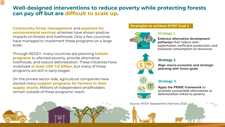## **Well-designed interventions to reduce poverty while protecting forests can pay off but are difficult to scale up.**

**Community forest management** and **payment for environmental services** schemes have shown positive impacts on forests and livelihoods. Only a few countries have managed to implement these programs on a large scale.

Through REDD+, many countries are planning **holistic programs** to alleviate poverty, provide alternative livelihoods, and reduce deforestation. These initiatives have mobilized **at least USD 7.6 billion**, but many of these programs are still in early stages.

On the private sector side, agriculture companies have started many **support programs for farmers in their supply chains**. Millions of independent smallholders remain outside of these programs' reach.

#### **Strategies to achieve NYDF Goal 4**



#### **Strategy 1**

**Embrace alternative development pathways** that reduce overexploitation, inefficient production, and excessive consumption of resources.



#### **Strategy 2**

**Align macro-economic and strategic planning with forest goals**



#### **Strategy 4**

**Apply the PRIME framework** to promote sustainable alternatives to deforestation linked to poverty

Source: NYDF Assessment Partners 2020.